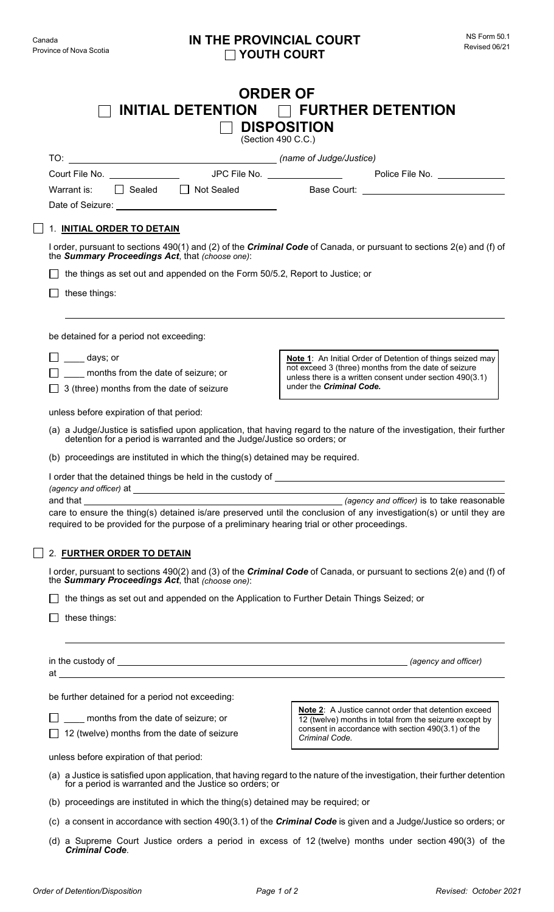| <b>ORDER OF</b><br>INITIAL DETENTION $\Box$ FURTHER DETENTION<br><b>DISPOSITION</b><br>(Section 490 C.C.)                                                                                                                                                                      |                                                                                                                    |
|--------------------------------------------------------------------------------------------------------------------------------------------------------------------------------------------------------------------------------------------------------------------------------|--------------------------------------------------------------------------------------------------------------------|
|                                                                                                                                                                                                                                                                                |                                                                                                                    |
|                                                                                                                                                                                                                                                                                |                                                                                                                    |
| □ Sealed □ Not Sealed<br>Warrant is:                                                                                                                                                                                                                                           |                                                                                                                    |
|                                                                                                                                                                                                                                                                                |                                                                                                                    |
| 1. INITIAL ORDER TO DETAIN                                                                                                                                                                                                                                                     |                                                                                                                    |
| I order, pursuant to sections 490(1) and (2) of the <i>Criminal Code</i> of Canada, or pursuant to sections 2(e) and (f) of<br>the Summary Proceedings Act, that (choose one):                                                                                                 |                                                                                                                    |
| the things as set out and appended on the Form 50/5.2, Report to Justice; or                                                                                                                                                                                                   |                                                                                                                    |
| these things:                                                                                                                                                                                                                                                                  |                                                                                                                    |
| be detained for a period not exceeding:                                                                                                                                                                                                                                        |                                                                                                                    |
|                                                                                                                                                                                                                                                                                |                                                                                                                    |
| days; or                                                                                                                                                                                                                                                                       | Note 1: An Initial Order of Detention of things seized may<br>not exceed 3 (three) months from the date of seizure |
| months from the date of seizure; or<br>3 (three) months from the date of seizure                                                                                                                                                                                               | unless there is a written consent under section 490(3.1)<br>under the Criminal Code.                               |
|                                                                                                                                                                                                                                                                                |                                                                                                                    |
| unless before expiration of that period:                                                                                                                                                                                                                                       |                                                                                                                    |
| (a) a Judge/Justice is satisfied upon application, that having regard to the nature of the investigation, their further<br>detention for a period is warranted and the Judge/Justice so orders; or                                                                             |                                                                                                                    |
| (b) proceedings are instituted in which the thing(s) detained may be required.                                                                                                                                                                                                 |                                                                                                                    |
|                                                                                                                                                                                                                                                                                |                                                                                                                    |
| and that<br>(agency and officer) is to take reasonable<br>care to ensure the thing(s) detained is/are preserved until the conclusion of any investigation(s) or until they are<br>required to be provided for the purpose of a preliminary hearing trial or other proceedings. |                                                                                                                    |
| 2. FURTHER ORDER TO DETAIN                                                                                                                                                                                                                                                     |                                                                                                                    |
| I order, pursuant to sections 490(2) and (3) of the <i>Criminal Code</i> of Canada, or pursuant to sections 2(e) and (f) of<br>the <b>Summary Proceedings Act</b> , that (choose one):                                                                                         |                                                                                                                    |
| the things as set out and appended on the Application to Further Detain Things Seized; or                                                                                                                                                                                      |                                                                                                                    |
| these things:                                                                                                                                                                                                                                                                  |                                                                                                                    |
|                                                                                                                                                                                                                                                                                |                                                                                                                    |
|                                                                                                                                                                                                                                                                                |                                                                                                                    |
|                                                                                                                                                                                                                                                                                |                                                                                                                    |
| be further detained for a period not exceeding:                                                                                                                                                                                                                                | Note 2: A Justice cannot order that detention exceed                                                               |
| months from the date of seizure; or                                                                                                                                                                                                                                            | 12 (twelve) months in total from the seizure except by                                                             |
| 12 (twelve) months from the date of seizure                                                                                                                                                                                                                                    | consent in accordance with section 490(3.1) of the<br>Criminal Code.                                               |
| unless before expiration of that period:                                                                                                                                                                                                                                       |                                                                                                                    |
| (a) a Justice is satisfied upon application, that having regard to the nature of the investigation, their further detention<br>for a period is warranted and the Justice so orders; or                                                                                         |                                                                                                                    |
| (b) proceedings are instituted in which the thing(s) detained may be required; or                                                                                                                                                                                              |                                                                                                                    |
| (c) a consent in accordance with section 490(3.1) of the <i>Criminal Code</i> is given and a Judge/Justice so orders; or                                                                                                                                                       |                                                                                                                    |
| (d) a Supreme Court Justice orders a period in excess of 12 (twelve) months under section 490(3) of the<br><b>Criminal Code.</b>                                                                                                                                               |                                                                                                                    |